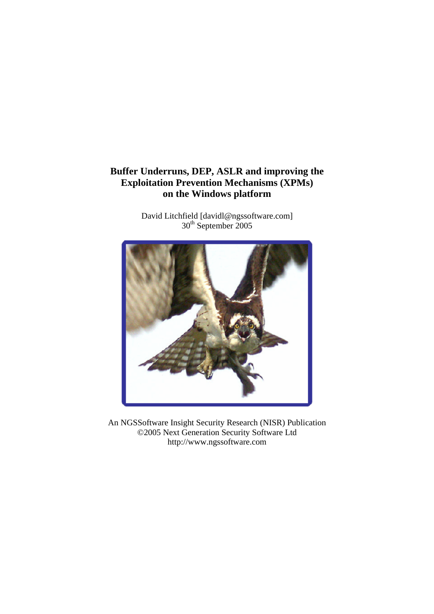# **Buffer Underruns, DEP, ASLR and improving the Exploitation Prevention Mechanisms (XPMs) on the Windows platform**

David Litchfield [davidl@ngssoftware.com] 30<sup>th</sup> September 2005



An NGSSoftware Insight Security Research (NISR) Publication ©2005 Next Generation Security Software Ltd http://www.ngssoftware.com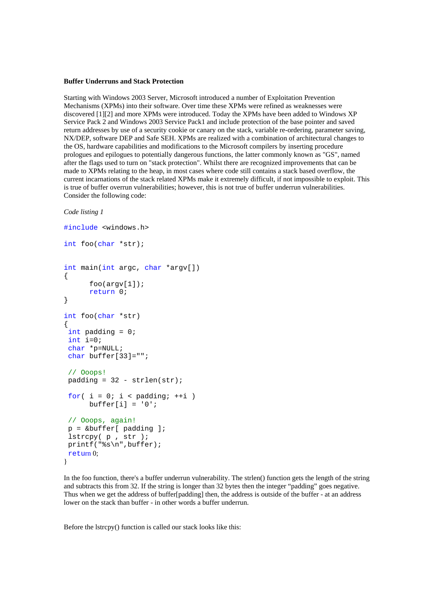#### **Buffer Underruns and Stack Protection**

Starting with Windows 2003 Server, Microsoft introduced a number of Exploitation Prevention Mechanisms (XPMs) into their software. Over time these XPMs were refined as weaknesses were discovered [1][2] and more XPMs were introduced. Today the XPMs have been added to Windows XP Service Pack 2 and Windows 2003 Service Pack1 and include protection of the base pointer and saved return addresses by use of a security cookie or canary on the stack, variable re-ordering, parameter saving, NX/DEP, software DEP and Safe SEH. XPMs are realized with a combination of architectural changes to the OS, hardware capabilities and modifications to the Microsoft compilers by inserting procedure prologues and epilogues to potentially dangerous functions, the latter commonly known as "GS", named after the flags used to turn on "stack protection". Whilst there are recognized improvements that can be made to XPMs relating to the heap, in most cases where code still contains a stack based overflow, the current incarnations of the stack related XPMs make it extremely difficult, if not impossible to exploit. This is true of buffer overrun vulnerabilities; however, this is not true of buffer underrun vulnerabilities. Consider the following code:

## *Code listing 1*

```
#include <windows.h> 
int foo(char *str); 
int main(int argc, char *argv[]) 
{ 
      foo(arqv[1]);return 0; 
} 
int foo(char *str) 
{ 
 int padding = 0; 
 int i=0; 
 char *p=NULL; 
 char buffer[33]=""; 
 // Ooops! 
padding = 32 - strlen(str);for( i = 0; i < padding; +i)
      buffer[i] = '0';// Ooops, again! 
p = \&buffer[ padding];
  lstrcpy( p , str ); 
 printf("%s\n",buffer); 
return 0; 
}
```
In the foo function, there's a buffer underrun vulnerability. The strlen() function gets the length of the string and subtracts this from 32. If the string is longer than 32 bytes then the integer "padding" goes negative. Thus when we get the address of buffer[padding] then, the address is outside of the buffer - at an address lower on the stack than buffer - in other words a buffer underrun.

Before the lstrcpy() function is called our stack looks like this: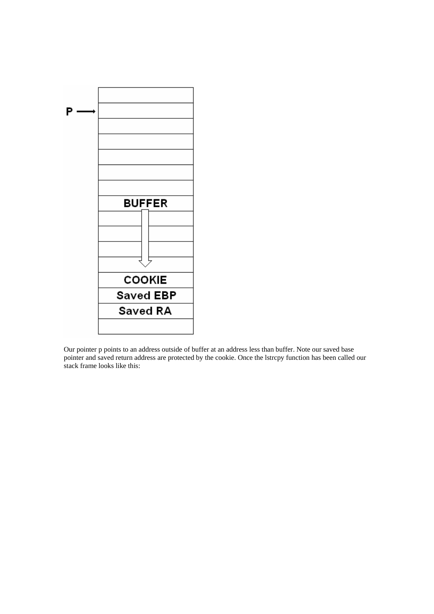

Our pointer p points to an address outside of buffer at an address less than buffer. Note our saved base pointer and saved return address are protected by the cookie. Once the lstrcpy function has been called our stack frame looks like this: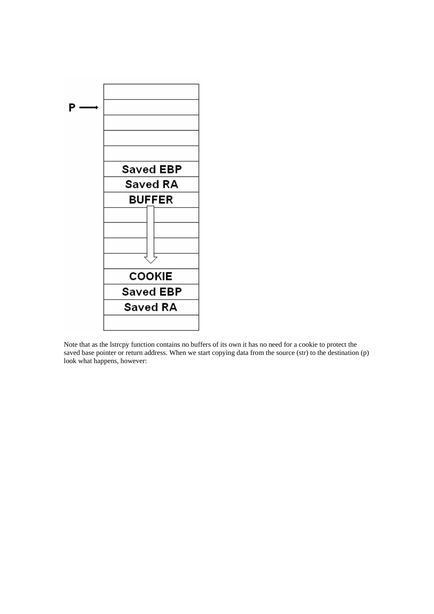

Note that as the lstrcpy function contains no buffers of its own it has no need for a cookie to protect the saved base pointer or return address. When we start copying data from the source (str) to the destination (p) look what happens, however: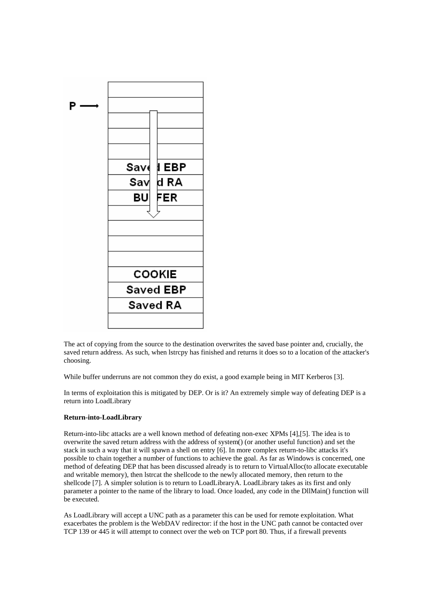

The act of copying from the source to the destination overwrites the saved base pointer and, crucially, the saved return address. As such, when lstrcpy has finished and returns it does so to a location of the attacker's choosing.

While buffer underruns are not common they do exist, a good example being in MIT Kerberos [3].

In terms of exploitation this is mitigated by DEP. Or is it? An extremely simple way of defeating DEP is a return into LoadLibrary

### **Return-into-LoadLibrary**

Return-into-libc attacks are a well known method of defeating non-exec XPMs [4],[5]. The idea is to overwrite the saved return address with the address of system() (or another useful function) and set the stack in such a way that it will spawn a shell on entry [6]. In more complex return-to-libc attacks it's possible to chain together a number of functions to achieve the goal. As far as Windows is concerned, one method of defeating DEP that has been discussed already is to return to VirtualAlloc(to allocate executable and writable memory), then lstrcat the shellcode to the newly allocated memory, then return to the shellcode [7]. A simpler solution is to return to LoadLibraryA. LoadLibrary takes as its first and only parameter a pointer to the name of the library to load. Once loaded, any code in the DllMain() function will be executed.

As LoadLibrary will accept a UNC path as a parameter this can be used for remote exploitation. What exacerbates the problem is the WebDAV redirector: if the host in the UNC path cannot be contacted over TCP 139 or 445 it will attempt to connect over the web on TCP port 80. Thus, if a firewall prevents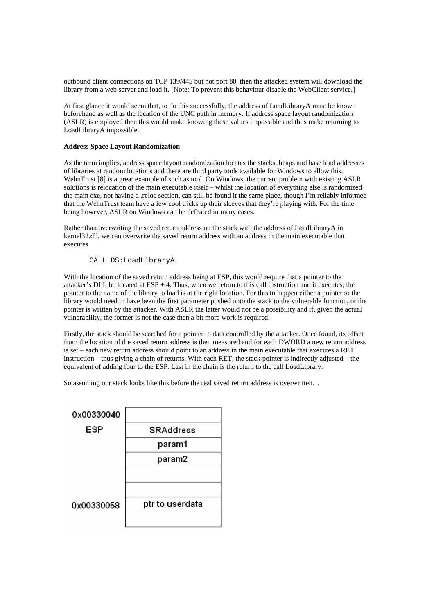outbound client connections on TCP 139/445 but not port 80, then the attacked system will download the library from a web server and load it. [Note: To prevent this behaviour disable the WebClient service.]

At first glance it would seem that, to do this successfully, the address of LoadLibraryA must be known beforehand as well as the location of the UNC path in memory. If address space layout randomization (ASLR) is employed then this would make knowing these values impossible and thus make returning to LoadLibraryA impossible.

## **Address Space Layout Randomization**

As the term implies, address space layout randomization locates the stacks, heaps and base load addresses of libraries at random locations and there are third party tools available for Windows to allow this. WehnTrust [8] is a great example of such as tool. On Windows, the current problem with existing ASLR solutions is relocation of the main executable itself – whilst the location of everything else is randomized the main exe, not having a .reloc section, can still be found it the same place, though I'm reliably informed that the WehnTrust team have a few cool tricks up their sleeves that they're playing with. For the time being however, ASLR on Windows can be defeated in many cases.

Rather than overwriting the saved return address on the stack with the address of LoadLibraryA in kernel32.dll, we can overwrite the saved return address with an address in the main executable that executes

# CALL DS:LoadLibraryA

With the location of the saved return address being at ESP, this would require that a pointer to the attacker's DLL be located at  $ESP + 4$ . Thus, when we return to this call instruction and it executes, the pointer to the name of the library to load is at the right location. For this to happen either a pointer to the library would need to have been the first parameter pushed onto the stack to the vulnerable function, or the pointer is written by the attacker. With ASLR the latter would not be a possibility and if, given the actual vulnerability, the former is not the case then a bit more work is required.

Firstly, the stack should be searched for a pointer to data controlled by the attacker. Once found, its offset from the location of the saved return address is then measured and for each DWORD a new return address is set – each new return address should point to an address in the main executable that executes a RET instruction – thus giving a chain of returns. With each RET, the stack pointer is indirectly adjusted – the equivalent of adding four to the ESP. Last in the chain is the return to the call LoadLibrary.

So assuming our stack looks like this before the real saved return address is overwritten…

| 0x00330040 |                 |
|------------|-----------------|
| ESP        | SRAddress       |
|            | param1          |
|            | param2          |
|            |                 |
|            |                 |
| 0x00330058 | ptr to userdata |
|            |                 |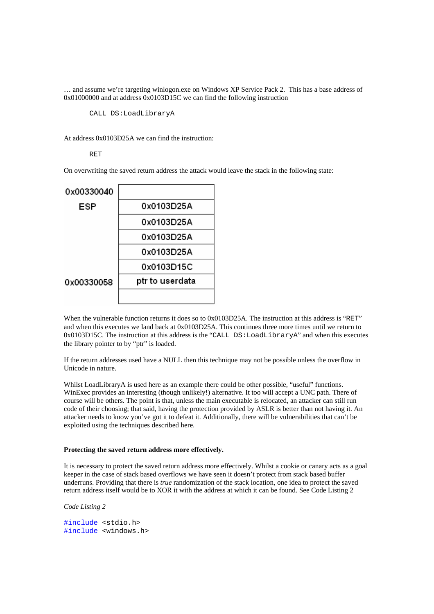… and assume we're targeting winlogon.exe on Windows XP Service Pack 2. This has a base address of 0x01000000 and at address 0x0103D15C we can find the following instruction

CALL DS:LoadLibraryA

At address 0x0103D25A we can find the instruction:

## RET

On overwriting the saved return address the attack would leave the stack in the following state:



When the vulnerable function returns it does so to 0x0103D25A. The instruction at this address is "RET" and when this executes we land back at 0x0103D25A. This continues three more times until we return to 0x0103D15C. The instruction at this address is the "CALL DS:LoadLibraryA" and when this executes the library pointer to by "ptr" is loaded.

If the return addresses used have a NULL then this technique may not be possible unless the overflow in Unicode in nature.

Whilst LoadLibraryA is used here as an example there could be other possible, "useful" functions. WinExec provides an interesting (though unlikely!) alternative. It too will accept a UNC path. There of course will be others. The point is that, unless the main executable is relocated, an attacker can still run code of their choosing; that said, having the protection provided by ASLR is better than not having it. An attacker needs to know you've got it to defeat it. Additionally, there will be vulnerabilities that can't be exploited using the techniques described here.

## **Protecting the saved return address more effectively.**

It is necessary to protect the saved return address more effectively. Whilst a cookie or canary acts as a goal keeper in the case of stack based overflows we have seen it doesn't protect from stack based buffer underruns. Providing that there is *true* randomization of the stack location, one idea to protect the saved return address itself would be to XOR it with the address at which it can be found. See Code Listing 2

*Code Listing 2*

```
#include <stdio.h> 
#include <windows.h>
```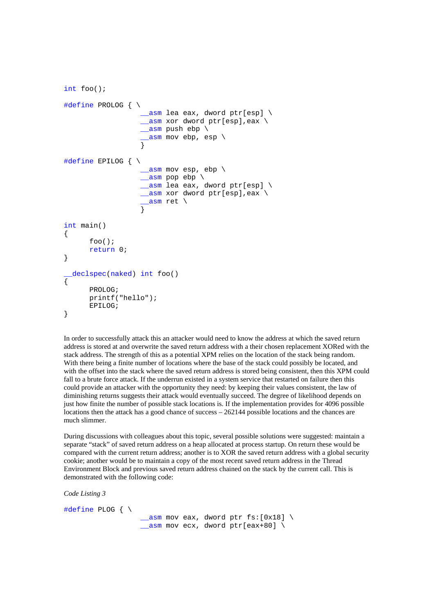```
int foo(); 
#define PROLOG { \ 
                     \_asm lea eax, dword ptr[esp] \setminus__asm xor dword ptr[esp],eax \
                    \alphasm push ebp \setminus_asm mov ebp, esp \
 } 
#define EPILOG { \ 
                    \sqrt{2}asm mov esp, ebp
                   \sqrt{2}asm pop ebp \
                    __asm lea eax, dword ptr[esp] \
                     __asm xor dword ptr[esp],eax \ 
                     \_asm ret \setminus } 
int main() 
{ 
       foo(); 
      return 0; 
} 
  __declspec(naked) int foo() 
{ 
       PROLOG; 
       printf("hello"); 
       EPILOG; 
}
```
In order to successfully attack this an attacker would need to know the address at which the saved return address is stored at and overwrite the saved return address with a their chosen replacement XORed with the stack address. The strength of this as a potential XPM relies on the location of the stack being random. With there being a finite number of locations where the base of the stack could possibly be located, and with the offset into the stack where the saved return address is stored being consistent, then this XPM could fall to a brute force attack. If the underrun existed in a system service that restarted on failure then this could provide an attacker with the opportunity they need: by keeping their values consistent, the law of diminishing returns suggests their attack would eventually succeed. The degree of likelihood depends on just how finite the number of possible stack locations is. If the implementation provides for 4096 possible locations then the attack has a good chance of success – 262144 possible locations and the chances are much slimmer.

During discussions with colleagues about this topic, several possible solutions were suggested: maintain a separate "stack" of saved return address on a heap allocated at process startup. On return these would be compared with the current return address; another is to XOR the saved return address with a global security cookie; another would be to maintain a copy of the most recent saved return address in the Thread Environment Block and previous saved return address chained on the stack by the current call. This is demonstrated with the following code:

*Code Listing 3*

#define PLOG { \  $\text{L}$ asm mov eax, dword ptr fs: [0x18] \  $\alpha$ asm mov ecx, dword ptr[eax+80] \